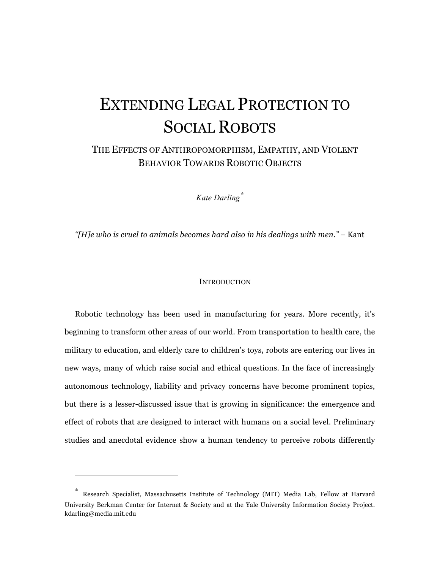# EXTENDING LEGAL PROTECTION TO SOCIAL ROBOTS

THE EFFECTS OF ANTHROPOMORPHISM, EMPATHY, AND VIOLENT BEHAVIOR TOWARDS ROBOTIC OBJECTS

*Kate Darling*<sup>∗</sup>

*"[H]e who is cruel to animals becomes hard also in his dealings with men."* – Kant

## **INTRODUCTION**

Robotic technology has been used in manufacturing for years. More recently, it's beginning to transform other areas of our world. From transportation to health care, the military to education, and elderly care to children's toys, robots are entering our lives in new ways, many of which raise social and ethical questions. In the face of increasingly autonomous technology, liability and privacy concerns have become prominent topics, but there is a lesser-discussed issue that is growing in significance: the emergence and effect of robots that are designed to interact with humans on a social level. Preliminary studies and anecdotal evidence show a human tendency to perceive robots differently

<sup>∗</sup> Research Specialist, Massachusetts Institute of Technology (MIT) Media Lab, Fellow at Harvard University Berkman Center for Internet & Society and at the Yale University Information Society Project. kdarling@media.mit.edu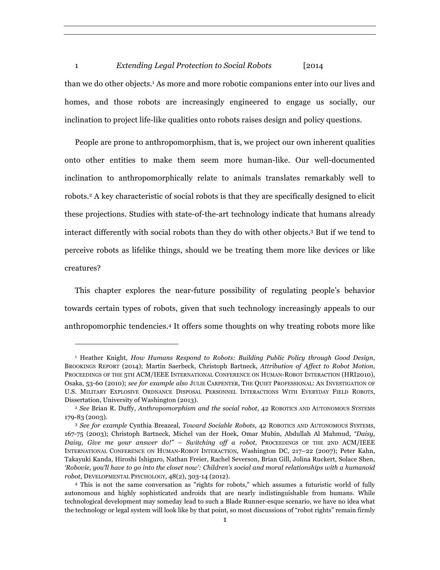1 *Extending Legal Protection to Social Robots* [2014 than we do other objects.1 As more and more robotic companions enter into our lives and homes, and those robots are increasingly engineered to engage us socially, our inclination to project life-like qualities onto robots raises design and policy questions.

People are prone to anthropomorphism, that is, we project our own inherent qualities onto other entities to make them seem more human-like. Our well-documented inclination to anthropomorphically relate to animals translates remarkably well to robots.2 A key characteristic of social robots is that they are specifically designed to elicit these projections. Studies with state-of-the-art technology indicate that humans already interact differently with social robots than they do with other objects.3 But if we tend to perceive robots as lifelike things, should we be treating them more like devices or like creatures?

This chapter explores the near-future possibility of regulating people's behavior towards certain types of robots, given that such technology increasingly appeals to our anthropomorphic tendencies.4 It offers some thoughts on why treating robots more like

l

<sup>1</sup> Heather Knight, *How Humans Respond to Robots: Building Public Policy through Good Design*, BROOKINGS REPORT (2014); Martin Saerbeck, Christoph Bartneck, *Attribution of Affect to Robot Motion*, PROCEEDINGS OF THE 5TH ACM/IEEE INTERNATIONAL CONFERENCE ON HUMAN-ROBOT INTERACTION (HRI2010), Osaka, 53-60 (2010); *see for example also* JULIE CARPENTER, THE QUIET PROFESSIONAL: AN INVESTIGATION OF U.S. MILITARY EXPLOSIVE ORDNANCE DISPOSAL PERSONNEL INTERACTIONS WITH EVERYDAY FIELD ROBOTS, Dissertation, University of Washington (2013).

<sup>2</sup> *See* Brian R. Duffy, *Anthropomorphism and the social robot*, 42 ROBOTICS AND AUTONOMOUS SYSTEMS 179-83 (2003).

<sup>3</sup> *See for example* Cynthia Breazeal*, Toward Sociable Robots*, 42 ROBOTICS AND AUTONOMOUS SYSTEMS, 167-75 (2003); Christoph Bartneck, Michel van der Hoek, Omar Mubin, Abdullah Al Mahmud, *"Daisy, Daisy, Give me your answer do!" – Switching off a robot,* PROCEEDINGS OF THE 2ND ACM/IEEE INTERNATIONAL CONFERENCE ON HUMAN-ROBOT INTERACTION, Washington DC, 217–22 (2007); Peter Kahn, Takayuki Kanda, Hiroshi Ishiguro, Nathan Freier, Rachel Severson, Brian Gill, Jolina Ruckert, Solace Shen, *'Robovie, you'll have to go into the closet now': Children's social and moral relationships with a humanoid robot*, DEVELOPMENTAL PSYCHOLOGY, 48(2), 303-14 (2012).

<sup>4</sup> This is not the same conversation as "rights for robots," which assumes a futuristic world of fully autonomous and highly sophisticated androids that are nearly indistinguishable from humans. While technological development may someday lead to such a Blade Runner-esque scenario, we have no idea what the technology or legal system will look like by that point, so most discussions of "robot rights" remain firmly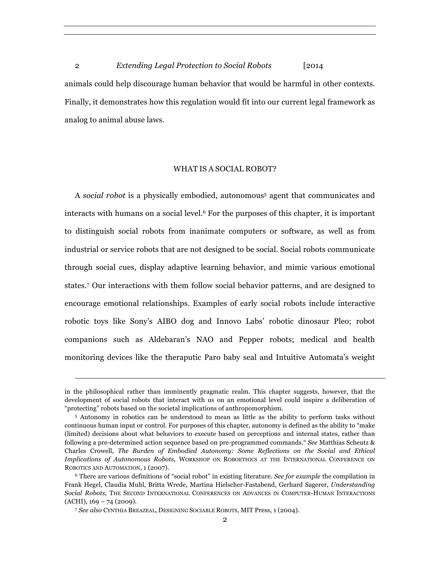2 *Extending Legal Protection to Social Robots* [2014 animals could help discourage human behavior that would be harmful in other contexts. Finally, it demonstrates how this regulation would fit into our current legal framework as analog to animal abuse laws.

#### WHAT IS A SOCIAL ROBOT?

A *social robot* is a physically embodied, autonomous5 agent that communicates and interacts with humans on a social level. <sup>6</sup> For the purposes of this chapter, it is important to distinguish social robots from inanimate computers or software, as well as from industrial or service robots that are not designed to be social. Social robots communicate through social cues, display adaptive learning behavior, and mimic various emotional states.7 Our interactions with them follow social behavior patterns, and are designed to encourage emotional relationships. Examples of early social robots include interactive robotic toys like Sony's AIBO dog and Innovo Labs' robotic dinosaur Pleo; robot companions such as Aldebaran's NAO and Pepper robots; medical and health monitoring devices like the theraputic Paro baby seal and Intuitive Automata's weight

in the philosophical rather than imminently pragmatic realm. This chapter suggests, however, that the development of social robots that interact with us on an emotional level could inspire a deliberation of "protecting" robots based on the societal implications of anthropomorphism.

<sup>5</sup> Autonomy in robotics can be understood to mean as little as the ability to perform tasks without continuous human input or control. For purposes of this chapter, autonomy is defined as the ability to "make (limited) decisions about what behaviors to execute based on perceptions and internal states, rather than following a pre-determined action sequence based on pre-programmed commands." *See* Matthias Scheutz & Charles Crowell, *The Burden of Embodied Autonomy: Some Reflections on the Social and Ethical Implications of Autonomous Robots*, WORKSHOP ON ROBOETHICS AT THE INTERNATIONAL CONFERENCE ON ROBOTICS AND AUTOMATION, 1 (2007).

<sup>6</sup> There are various definitions of "social robot" in existing literature. *See for example* the compilation in Frank Hegel, Claudia Muhl, Britta Wrede, Martina Hielscher-Fastabend, Gerhard Sagerer, *Understanding Social Robots*, THE SECOND INTERNATIONAL CONFERENCES ON ADVANCES IN COMPUTER-HUMAN INTERACTIONS  $(ACHI)$ , 169 – 74 (2009).

<sup>7</sup> *See also* CYNTHIA BREAZEAL, DESIGNING SOCIABLE ROBOTS, MIT Press, 1 (2004).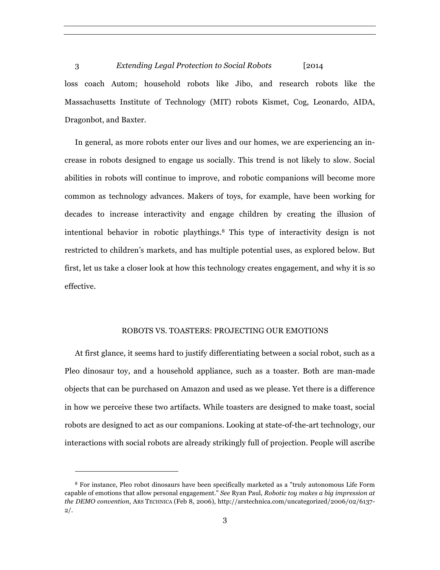3 *Extending Legal Protection to Social Robots* [2014 loss coach Autom; household robots like Jibo, and research robots like the Massachusetts Institute of Technology (MIT) robots Kismet, Cog, Leonardo, AIDA, Dragonbot, and Baxter.

In general, as more robots enter our lives and our homes, we are experiencing an increase in robots designed to engage us socially. This trend is not likely to slow. Social abilities in robots will continue to improve, and robotic companions will become more common as technology advances. Makers of toys, for example, have been working for decades to increase interactivity and engage children by creating the illusion of intentional behavior in robotic playthings.8 This type of interactivity design is not restricted to children's markets, and has multiple potential uses, as explored below. But first, let us take a closer look at how this technology creates engagement, and why it is so effective.

## ROBOTS VS. TOASTERS: PROJECTING OUR EMOTIONS

At first glance, it seems hard to justify differentiating between a social robot, such as a Pleo dinosaur toy, and a household appliance, such as a toaster. Both are man-made objects that can be purchased on Amazon and used as we please. Yet there is a difference in how we perceive these two artifacts. While toasters are designed to make toast, social robots are designed to act as our companions. Looking at state-of-the-art technology, our interactions with social robots are already strikingly full of projection. People will ascribe

<sup>8</sup> For instance, Pleo robot dinosaurs have been specifically marketed as a "truly autonomous Life Form capable of emotions that allow personal engagement." *See* Ryan Paul, *Robotic toy makes a big impression at the DEMO convention*, ARS TECHNICA (Feb 8, 2006), http://arstechnica.com/uncategorized/2006/02/6137-  $2/$ .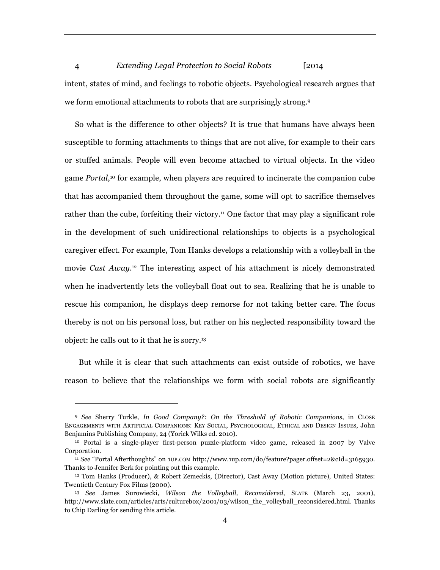4 *Extending Legal Protection to Social Robots* [2014 intent, states of mind, and feelings to robotic objects. Psychological research argues that we form emotional attachments to robots that are surprisingly strong.9

So what is the difference to other objects? It is true that humans have always been susceptible to forming attachments to things that are not alive, for example to their cars or stuffed animals. People will even become attached to virtual objects. In the video game *Portal*, <sup>10</sup> for example, when players are required to incinerate the companion cube that has accompanied them throughout the game, some will opt to sacrifice themselves rather than the cube, forfeiting their victory.<sup>11</sup> One factor that may play a significant role in the development of such unidirectional relationships to objects is a psychological caregiver effect. For example, Tom Hanks develops a relationship with a volleyball in the movie *Cast Away*. <sup>12</sup> The interesting aspect of his attachment is nicely demonstrated when he inadvertently lets the volleyball float out to sea. Realizing that he is unable to rescue his companion, he displays deep remorse for not taking better care. The focus thereby is not on his personal loss, but rather on his neglected responsibility toward the object: he calls out to it that he is sorry.13

 But while it is clear that such attachments can exist outside of robotics, we have reason to believe that the relationships we form with social robots are significantly

<sup>9</sup> *See* Sherry Turkle, *In Good Company?: On the Threshold of Robotic Companions*, in CLOSE ENGAGEMENTS WITH ARTIFICIAL COMPANIONS: KEY SOCIAL, PSYCHOLOGICAL, ETHICAL AND DESIGN ISSUES, John Benjamins Publishing Company, 24 (Yorick Wilks ed. 2010).

<sup>10</sup> Portal is a single-player first-person puzzle-platform video game, released in 2007 by Valve Corporation.

<sup>&</sup>lt;sup>11</sup> See "Portal Afterthoughts" on 1UP.COM http://www.1up.com/do/feature?pager.offset=2&cId=3165930. Thanks to Jennifer Berk for pointing out this example.

<sup>12</sup> Tom Hanks (Producer), & Robert Zemeckis, (Director), Cast Away (Motion picture), United States: Twentieth Century Fox Films (2000).

<sup>13</sup> *See* James Surowiecki, *Wilson the Volleyball, Reconsidered*, SLATE (March 23, 2001), http://www.slate.com/articles/arts/culturebox/2001/03/wilson\_the\_volleyball\_reconsidered.html. Thanks to Chip Darling for sending this article.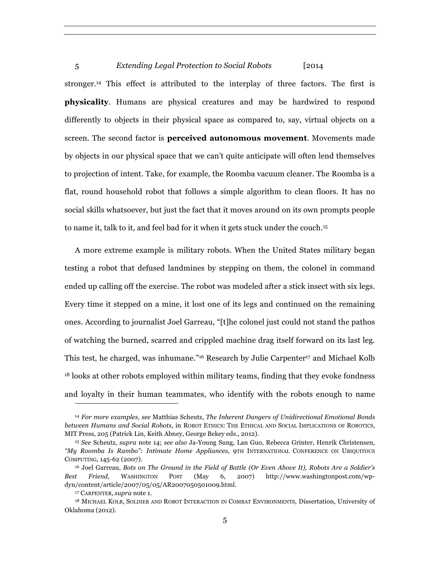5 *Extending Legal Protection to Social Robots* [2014 stronger. <sup>14</sup> This effect is attributed to the interplay of three factors. The first is **physicality**. Humans are physical creatures and may be hardwired to respond differently to objects in their physical space as compared to, say, virtual objects on a screen. The second factor is **perceived autonomous movement**. Movements made by objects in our physical space that we can't quite anticipate will often lend themselves to projection of intent. Take, for example, the Roomba vacuum cleaner. The Roomba is a flat, round household robot that follows a simple algorithm to clean floors. It has no social skills whatsoever, but just the fact that it moves around on its own prompts people to name it, talk to it, and feel bad for it when it gets stuck under the couch.15

A more extreme example is military robots. When the United States military began testing a robot that defused landmines by stepping on them, the colonel in command ended up calling off the exercise. The robot was modeled after a stick insect with six legs. Every time it stepped on a mine, it lost one of its legs and continued on the remaining ones. According to journalist Joel Garreau, "[t]he colonel just could not stand the pathos of watching the burned, scarred and crippled machine drag itself forward on its last leg. This test, he charged, was inhumane."<sup>16</sup> Research by Julie Carpenter<sup>17</sup> and Michael Kolb <sup>18</sup> looks at other robots employed within military teams, finding that they evoke fondness and loyalty in their human teammates, who identify with the robots enough to name

<sup>14</sup> *For more examples, see* Matthias Scheutz, *The Inherent Dangers of Unidirectional Emotional Bonds between Humans and Social Robots*, in ROBOT ETHICS: THE ETHICAL AND SOCIAL IMPLICATIONS OF ROBOTICS, MIT Press, 205 (Patrick Lin, Keith Abney, George Bekey eds., 2012).

<sup>15</sup> *See* Scheutz, *supra* note 14; *see also* Ja-Young Sung, Lan Guo, Rebecca Grinter, Henrik Christensen, *"My Roomba Is Rambo": Intimate Home Appliances*, 9TH INTERNATIONAL CONFERENCE ON UBIQUITOUS COMPUTING, 145-62 (2007).

<sup>16</sup> Joel Garreau, *Bots on The Ground in the Field of Battle (Or Even Above It), Robots Are a Soldier's Best Friend*, WASHINGTON POST (May 6, 2007) http://www.washingtonpost.com/wpdyn/content/article/2007/05/05/AR2007050501009.html.

<sup>17</sup> CARPENTER, *supra* note 1.

<sup>18</sup> MICHAEL KOLB, SOLDIER AND ROBOT INTERACTION IN COMBAT ENVIRONMENTS, Dissertation, University of Oklahoma (2012).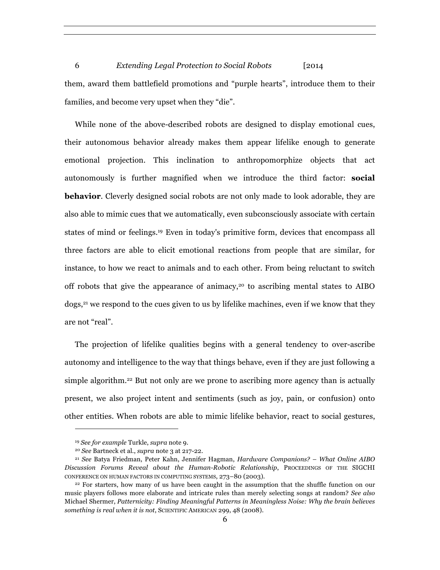6 *Extending Legal Protection to Social Robots* [2014 them, award them battlefield promotions and "purple hearts", introduce them to their families, and become very upset when they "die".

While none of the above-described robots are designed to display emotional cues, their autonomous behavior already makes them appear lifelike enough to generate emotional projection. This inclination to anthropomorphize objects that act autonomously is further magnified when we introduce the third factor: **social behavior**. Cleverly designed social robots are not only made to look adorable, they are also able to mimic cues that we automatically, even subconsciously associate with certain states of mind or feelings.19 Even in today's primitive form, devices that encompass all three factors are able to elicit emotional reactions from people that are similar, for instance, to how we react to animals and to each other. From being reluctant to switch off robots that give the appearance of animacy,<sup>20</sup> to ascribing mental states to AIBO  $\log s$ <sup>21</sup> we respond to the cues given to us by lifelike machines, even if we know that they are not "real".

The projection of lifelike qualities begins with a general tendency to over-ascribe autonomy and intelligence to the way that things behave, even if they are just following a simple algorithm.<sup>22</sup> But not only are we prone to ascribing more agency than is actually present, we also project intent and sentiments (such as joy, pain, or confusion) onto other entities. When robots are able to mimic lifelike behavior, react to social gestures,

<sup>19</sup> *See for example* Turkle, *supra* note 9.

<sup>20</sup> *See* Bartneck et al., *supra* note 3 at 217-22.

<sup>21</sup> *See* Batya Friedman, Peter Kahn, Jennifer Hagman, *Hardware Companions? – What Online AIBO Discussion Forums Reveal about the Human-Robotic Relationship*, PROCEEDINGS OF THE SIGCHI CONFERENCE ON HUMAN FACTORS IN COMPUTING SYSTEMS, 273–80 (2003).

<sup>&</sup>lt;sup>22</sup> For starters, how many of us have been caught in the assumption that the shuffle function on our music players follows more elaborate and intricate rules than merely selecting songs at random? *See also* Michael Shermer, *Patternicity: Finding Meaningful Patterns in Meaningless Noise: Why the brain believes something is real when it is not*, SCIENTIFIC AMERICAN 299, 48 (2008).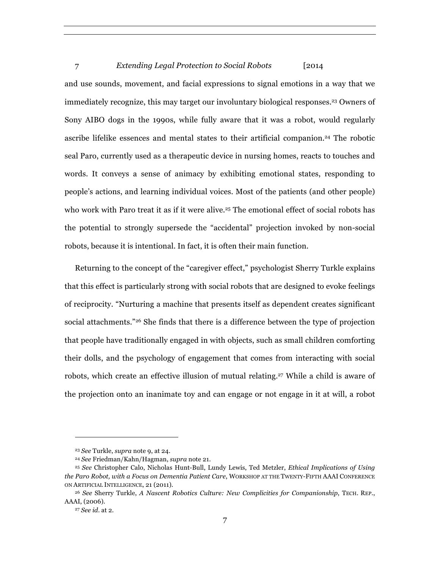7 *Extending Legal Protection to Social Robots* [2014 and use sounds, movement, and facial expressions to signal emotions in a way that we immediately recognize, this may target our involuntary biological responses. <sup>23</sup> Owners of Sony AIBO dogs in the 1990s, while fully aware that it was a robot, would regularly ascribe lifelike essences and mental states to their artificial companion.24 The robotic seal Paro, currently used as a therapeutic device in nursing homes, reacts to touches and words. It conveys a sense of animacy by exhibiting emotional states, responding to people's actions, and learning individual voices. Most of the patients (and other people) who work with Paro treat it as if it were alive.<sup>25</sup> The emotional effect of social robots has the potential to strongly supersede the "accidental" projection invoked by non-social robots, because it is intentional. In fact, it is often their main function.

Returning to the concept of the "caregiver effect," psychologist Sherry Turkle explains that this effect is particularly strong with social robots that are designed to evoke feelings of reciprocity. "Nurturing a machine that presents itself as dependent creates significant social attachments."<sup>26</sup> She finds that there is a difference between the type of projection that people have traditionally engaged in with objects, such as small children comforting their dolls, and the psychology of engagement that comes from interacting with social robots, which create an effective illusion of mutual relating.<sup>27</sup> While a child is aware of the projection onto an inanimate toy and can engage or not engage in it at will, a robot

<sup>23</sup> *See* Turkle, *supra* note 9, at 24.

<sup>24</sup> *See* Friedman/Kahn/Hagman, *supra* note 21.

<sup>25</sup> *See* Christopher Calo, Nicholas Hunt-Bull, Lundy Lewis, Ted Metzler, *Ethical Implications of Using the Paro Robot, with a Focus on Dementia Patient Care*, WORKSHOP AT THE TWENTY-FIFTH AAAI CONFERENCE ON ARTIFICIAL INTELLIGENCE, 21 (2011).

<sup>26</sup> *See* Sherry Turkle, *A Nascent Robotics Culture: New Complicities for Companionship*, TECH. REP., AAAI, (2006).

<sup>27</sup> *See id*. at 2.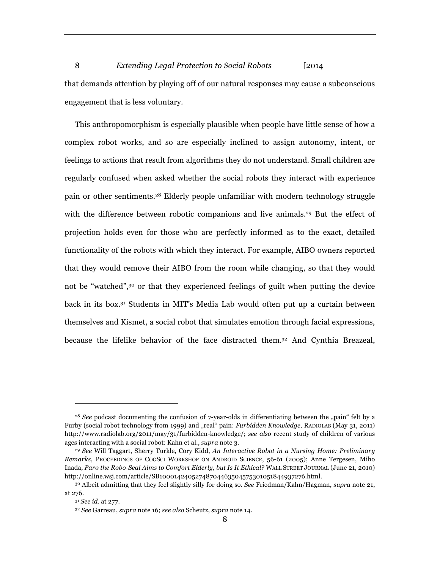8 *Extending Legal Protection to Social Robots* [2014 that demands attention by playing off of our natural responses may cause a subconscious engagement that is less voluntary.

This anthropomorphism is especially plausible when people have little sense of how a complex robot works, and so are especially inclined to assign autonomy, intent, or feelings to actions that result from algorithms they do not understand. Small children are regularly confused when asked whether the social robots they interact with experience pain or other sentiments.28 Elderly people unfamiliar with modern technology struggle with the difference between robotic companions and live animals.<sup>29</sup> But the effect of projection holds even for those who are perfectly informed as to the exact, detailed functionality of the robots with which they interact. For example, AIBO owners reported that they would remove their AIBO from the room while changing, so that they would not be "watched",30 or that they experienced feelings of guilt when putting the device back in its box.31 Students in MIT's Media Lab would often put up a curtain between themselves and Kismet, a social robot that simulates emotion through facial expressions, because the lifelike behavior of the face distracted them.32 And Cynthia Breazeal,

<sup>&</sup>lt;sup>28</sup> See podcast documenting the confusion of 7-year-olds in differentiating between the "pain" felt by a Furby (social robot technology from 1999) and "real" pain: *Furbidden Knowledge*, RADIOLAB (May 31, 2011) http://www.radiolab.org/2011/may/31/furbidden-knowledge/; *see also* recent study of children of various ages interacting with a social robot: Kahn et al., *supra* note 3.

<sup>29</sup> *See* Will Taggart, Sherry Turkle, Cory Kidd, *An Interactive Robot in a Nursing Home: Preliminary Remarks*, PROCEEDINGS OF COGSCI WORKSHOP ON ANDROID SCIENCE, 56-61 (2005); Anne Tergesen, Miho Inada, *Paro the Robo-Seal Aims to Comfort Elderly, but Is It Ethical?* WALL STREET JOURNAL (June 21, 2010) http://online.wsj.com/article/SB10001424052748704463504575301051844937276.html.

<sup>30</sup> Albeit admitting that they feel slightly silly for doing so. *See* Friedman/Kahn/Hagman, *supra* note 21, at 276.

<sup>31</sup> *See id.* at 277.

<sup>32</sup> *See* Garreau, *supra* note 16; *see also* Scheutz, *supra* note 14.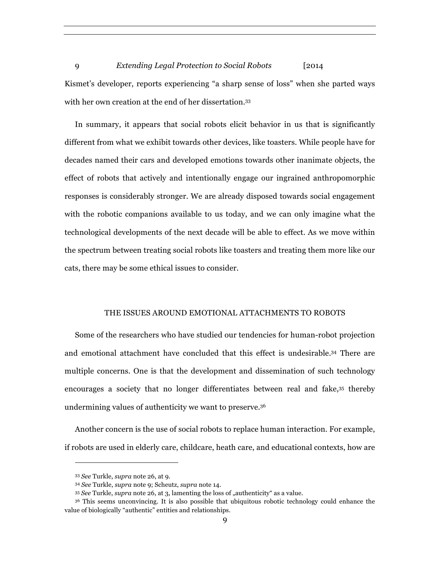9 *Extending Legal Protection to Social Robots* [2014 Kismet's developer, reports experiencing "a sharp sense of loss" when she parted ways with her own creation at the end of her dissertation.<sup>33</sup>

In summary, it appears that social robots elicit behavior in us that is significantly different from what we exhibit towards other devices, like toasters. While people have for decades named their cars and developed emotions towards other inanimate objects, the effect of robots that actively and intentionally engage our ingrained anthropomorphic responses is considerably stronger. We are already disposed towards social engagement with the robotic companions available to us today, and we can only imagine what the technological developments of the next decade will be able to effect. As we move within the spectrum between treating social robots like toasters and treating them more like our cats, there may be some ethical issues to consider.

## THE ISSUES AROUND EMOTIONAL ATTACHMENTS TO ROBOTS

Some of the researchers who have studied our tendencies for human-robot projection and emotional attachment have concluded that this effect is undesirable.34 There are multiple concerns. One is that the development and dissemination of such technology encourages a society that no longer differentiates between real and fake,35 thereby undermining values of authenticity we want to preserve.36

Another concern is the use of social robots to replace human interaction. For example, if robots are used in elderly care, childcare, heath care, and educational contexts, how are

l

<sup>33</sup> *See* Turkle, *supra* note 26, at 9.

<sup>34</sup> *See* Turkle, *supra* note 9; Scheutz, *supra* note 14.

<sup>&</sup>lt;sup>35</sup> See Turkle, *supra* note 26, at 3, lamenting the loss of "authenticity" as a value.

<sup>36</sup> This seems unconvincing. It is also possible that ubiquitous robotic technology could enhance the value of biologically "authentic" entities and relationships.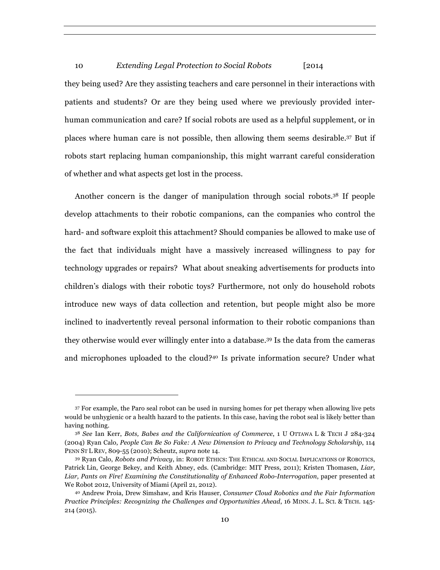10 *Extending Legal Protection to Social Robots* [2014 they being used? Are they assisting teachers and care personnel in their interactions with patients and students? Or are they being used where we previously provided interhuman communication and care? If social robots are used as a helpful supplement, or in places where human care is not possible, then allowing them seems desirable.37 But if robots start replacing human companionship, this might warrant careful consideration of whether and what aspects get lost in the process.

Another concern is the danger of manipulation through social robots.38 If people develop attachments to their robotic companions, can the companies who control the hard- and software exploit this attachment? Should companies be allowed to make use of the fact that individuals might have a massively increased willingness to pay for technology upgrades or repairs? What about sneaking advertisements for products into children's dialogs with their robotic toys? Furthermore, not only do household robots introduce new ways of data collection and retention, but people might also be more inclined to inadvertently reveal personal information to their robotic companions than they otherwise would ever willingly enter into a database.39 Is the data from the cameras and microphones uploaded to the cloud?40 Is private information secure? Under what

<sup>37</sup> For example, the Paro seal robot can be used in nursing homes for pet therapy when allowing live pets would be unhygienic or a health hazard to the patients. In this case, having the robot seal is likely better than having nothing.

<sup>38</sup> *See* Ian Kerr, *Bots, Babes and the Californication of Commerce*, 1 U OTTAWA L & TECH J 284-324 (2004) Ryan Calo, *People Can Be So Fake: A New Dimension to Privacy and Technology Scholarship*, 114 PENN ST L REV, 809-55 (2010); Scheutz, *supra* note 14.

<sup>39</sup> Ryan Calo, *Robots and Privacy*, in: ROBOT ETHICS: THE ETHICAL AND SOCIAL IMPLICATIONS OF ROBOTICS, Patrick Lin, George Bekey, and Keith Abney, eds. (Cambridge: MIT Press, 2011); Kristen Thomasen, *Liar, Liar, Pants on Fire! Examining the Constitutionality of Enhanced Robo-Interrogation*, paper presented at We Robot 2012, University of Miami (April 21, 2012).

<sup>40</sup> Andrew Proia, Drew Simshaw, and Kris Hauser, *Consumer Cloud Robotics and the Fair Information Practice Principles: Recognizing the Challenges and Opportunities Ahead*, 16 MINN. J. L. SCI. & TECH. 145- 214 (2015).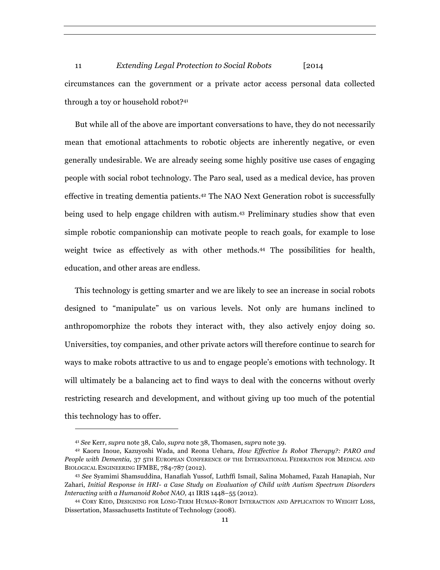11 *Extending Legal Protection to Social Robots* [2014 circumstances can the government or a private actor access personal data collected through a toy or household robot?41

But while all of the above are important conversations to have, they do not necessarily mean that emotional attachments to robotic objects are inherently negative, or even generally undesirable. We are already seeing some highly positive use cases of engaging people with social robot technology. The Paro seal, used as a medical device, has proven effective in treating dementia patients. <sup>42</sup> The NAO Next Generation robot is successfully being used to help engage children with autism.43 Preliminary studies show that even simple robotic companionship can motivate people to reach goals, for example to lose weight twice as effectively as with other methods.44 The possibilities for health, education, and other areas are endless.

This technology is getting smarter and we are likely to see an increase in social robots designed to "manipulate" us on various levels. Not only are humans inclined to anthropomorphize the robots they interact with, they also actively enjoy doing so. Universities, toy companies, and other private actors will therefore continue to search for ways to make robots attractive to us and to engage people's emotions with technology. It will ultimately be a balancing act to find ways to deal with the concerns without overly restricting research and development, and without giving up too much of the potential this technology has to offer.

<sup>41</sup> *See* Kerr, *supra* note 38, Calo, *supra* note 38, Thomasen, *supra* note 39.

<sup>42</sup> Kaoru Inoue, Kazuyoshi Wada, and Reona Uehara, *How Effective Is Robot Therapy?: PARO and People with Dementia,* 37 5TH EUROPEAN CONFERENCE OF THE INTERNATIONAL FEDERATION FOR MEDICAL AND BIOLOGICAL ENGINEERING IFMBE, 784-787 (2012).

<sup>43</sup> *See* Syamimi Shamsuddina, Hanafiah Yussof, Luthffi Ismail, Salina Mohamed, Fazah Hanapiah, Nur Zahari, *Initial Response in HRI- a Case Study on Evaluation of Child with Autism Spectrum Disorders Interacting with a Humanoid Robot NAO,* 41 IRIS 1448–55 (2012).

<sup>44</sup> CORY KIDD, DESIGNING FOR LONG-TERM HUMAN-ROBOT INTERACTION AND APPLICATION TO WEIGHT LOSS, Dissertation, Massachusetts Institute of Technology (2008).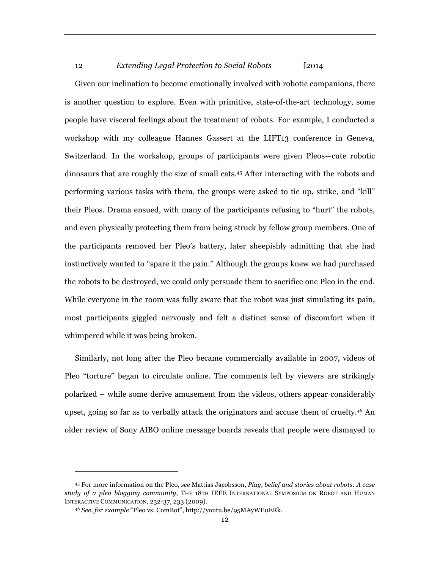Given our inclination to become emotionally involved with robotic companions, there is another question to explore. Even with primitive, state-of-the-art technology, some people have visceral feelings about the treatment of robots. For example, I conducted a workshop with my colleague Hannes Gassert at the LIFT13 conference in Geneva, Switzerland. In the workshop, groups of participants were given Pleos—cute robotic dinosaurs that are roughly the size of small cats.45 After interacting with the robots and performing various tasks with them, the groups were asked to tie up, strike, and "kill" their Pleos. Drama ensued, with many of the participants refusing to "hurt" the robots, and even physically protecting them from being struck by fellow group members. One of the participants removed her Pleo's battery, later sheepishly admitting that she had instinctively wanted to "spare it the pain." Although the groups knew we had purchased the robots to be destroyed, we could only persuade them to sacrifice one Pleo in the end. While everyone in the room was fully aware that the robot was just simulating its pain, most participants giggled nervously and felt a distinct sense of discomfort when it whimpered while it was being broken.

Similarly, not long after the Pleo became commercially available in 2007, videos of Pleo "torture" began to circulate online. The comments left by viewers are strikingly polarized – while some derive amusement from the videos, others appear considerably upset, going so far as to verbally attack the originators and accuse them of cruelty.46 An older review of Sony AIBO online message boards reveals that people were dismayed to

<sup>45</sup> For more information on the Pleo, *see* Mattias Jacobsson, *Play, belief and stories about robots: A case study of a pleo blogging community*, THE 18TH IEEE INTERNATIONAL SYMPOSIUM ON ROBOT AND HUMAN INTERACTIVE COMMUNICATION, 232-37, 233 (2009).

<sup>46</sup> *See, for example* "Pleo vs. ComBot", http://youtu.be/95MAyWE0ERk.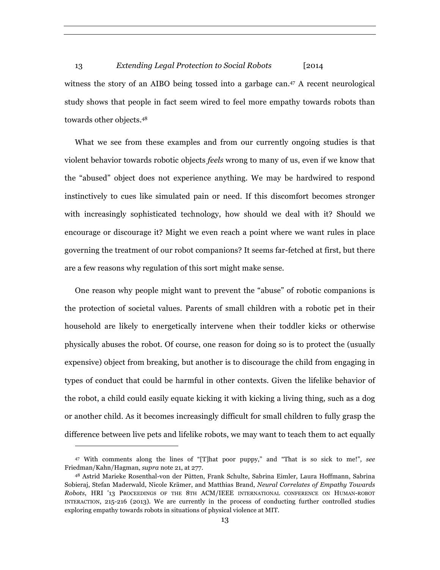13 *Extending Legal Protection to Social Robots* [2014 witness the story of an AIBO being tossed into a garbage can.<sup>47</sup> A recent neurological study shows that people in fact seem wired to feel more empathy towards robots than towards other objects.48

What we see from these examples and from our currently ongoing studies is that violent behavior towards robotic objects *feels* wrong to many of us, even if we know that the "abused" object does not experience anything. We may be hardwired to respond instinctively to cues like simulated pain or need. If this discomfort becomes stronger with increasingly sophisticated technology, how should we deal with it? Should we encourage or discourage it? Might we even reach a point where we want rules in place governing the treatment of our robot companions? It seems far-fetched at first, but there are a few reasons why regulation of this sort might make sense.

One reason why people might want to prevent the "abuse" of robotic companions is the protection of societal values. Parents of small children with a robotic pet in their household are likely to energetically intervene when their toddler kicks or otherwise physically abuses the robot. Of course, one reason for doing so is to protect the (usually expensive) object from breaking, but another is to discourage the child from engaging in types of conduct that could be harmful in other contexts. Given the lifelike behavior of the robot, a child could easily equate kicking it with kicking a living thing, such as a dog or another child. As it becomes increasingly difficult for small children to fully grasp the difference between live pets and lifelike robots, we may want to teach them to act equally

<sup>47</sup> With comments along the lines of "[T]hat poor puppy," and "That is so sick to me!", *see* Friedman/Kahn/Hagman, *supra* note 21, at 277.

<sup>48</sup> Astrid Marieke Rosenthal-von der Pütten, Frank Schulte, Sabrina Eimler, Laura Hoffmann, Sabrina Sobieraj, Stefan Maderwald, Nicole Krämer, and Matthias Brand, *Neural Correlates of Empathy Towards Robots*, HRI '13 PROCEEDINGS OF THE 8TH ACM/IEEE INTERNATIONAL CONFERENCE ON HUMAN-ROBOT INTERACTION, 215-216 (2013). We are currently in the process of conducting further controlled studies exploring empathy towards robots in situations of physical violence at MIT.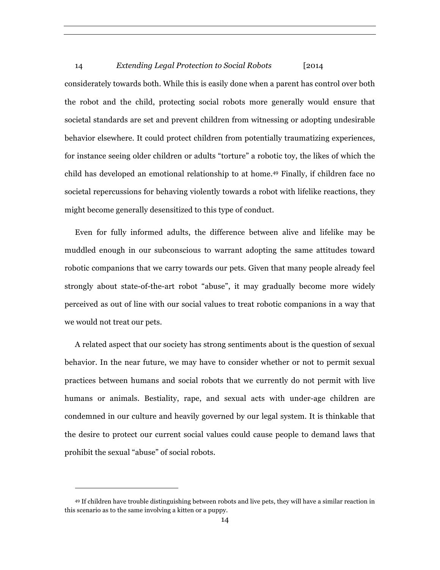14 *Extending Legal Protection to Social Robots* [2014 considerately towards both. While this is easily done when a parent has control over both the robot and the child, protecting social robots more generally would ensure that societal standards are set and prevent children from witnessing or adopting undesirable behavior elsewhere. It could protect children from potentially traumatizing experiences, for instance seeing older children or adults "torture" a robotic toy, the likes of which the child has developed an emotional relationship to at home.49 Finally, if children face no societal repercussions for behaving violently towards a robot with lifelike reactions, they might become generally desensitized to this type of conduct.

Even for fully informed adults, the difference between alive and lifelike may be muddled enough in our subconscious to warrant adopting the same attitudes toward robotic companions that we carry towards our pets. Given that many people already feel strongly about state-of-the-art robot "abuse", it may gradually become more widely perceived as out of line with our social values to treat robotic companions in a way that we would not treat our pets.

A related aspect that our society has strong sentiments about is the question of sexual behavior. In the near future, we may have to consider whether or not to permit sexual practices between humans and social robots that we currently do not permit with live humans or animals. Bestiality, rape, and sexual acts with under-age children are condemned in our culture and heavily governed by our legal system. It is thinkable that the desire to protect our current social values could cause people to demand laws that prohibit the sexual "abuse" of social robots.

<sup>49</sup> If children have trouble distinguishing between robots and live pets, they will have a similar reaction in this scenario as to the same involving a kitten or a puppy.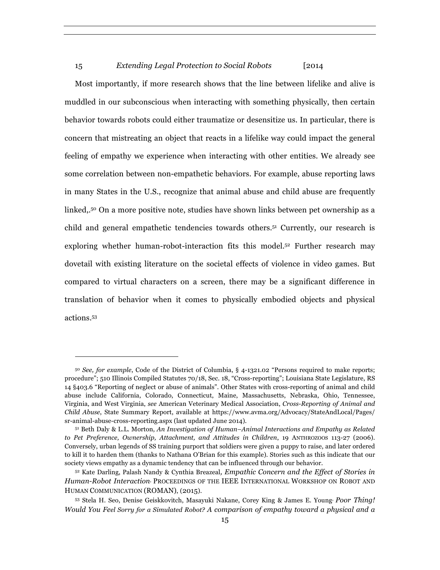Most importantly, if more research shows that the line between lifelike and alive is muddled in our subconscious when interacting with something physically, then certain behavior towards robots could either traumatize or desensitize us. In particular, there is concern that mistreating an object that reacts in a lifelike way could impact the general feeling of empathy we experience when interacting with other entities. We already see some correlation between non-empathetic behaviors. For example, abuse reporting laws in many States in the U.S., recognize that animal abuse and child abuse are frequently linked,. <sup>50</sup> On a more positive note, studies have shown links between pet ownership as a child and general empathetic tendencies towards others.51 Currently, our research is exploring whether human-robot-interaction fits this model. <sup>52</sup> Further research may dovetail with existing literature on the societal effects of violence in video games. But compared to virtual characters on a screen, there may be a significant difference in translation of behavior when it comes to physically embodied objects and physical actions. 53

<sup>50</sup> *See, for example*, Code of the District of Columbia, § 4-1321.02 "Persons required to make reports; procedure"; 510 Illinois Compiled Statutes 70/18, Sec. 18, "Cross-reporting"; Louisiana State Legislature, RS 14 §403.6 "Reporting of neglect or abuse of animals". Other States with cross-reporting of animal and child abuse include California, Colorado, Connecticut, Maine, Massachusetts, Nebraska, Ohio, Tennessee, Virginia, and West Virginia, *see* American Veterinary Medical Association, *Cross-Reporting of Animal and Child Abuse*, State Summary Report, available at https://www.avma.org/Advocacy/StateAndLocal/Pages/ sr-animal-abuse-cross-reporting.aspx (last updated June 2014).

<sup>51</sup> Beth Daly & L.L. Morton, *An Investigation of Human–Animal Interactions and Empathy as Related to Pet Preference, Ownership, Attachment, and Attitudes in Children*, 19 ANTHROZOOS 113-27 (2006). Conversely, urban legends of SS training purport that soldiers were given a puppy to raise, and later ordered to kill it to harden them (thanks to Nathana O'Brian for this example). Stories such as this indicate that our society views empathy as a dynamic tendency that can be influenced through our behavior.

<sup>52</sup> Kate Darling, Palash Nandy & Cynthia Breazeal*, Empathic Concern and the Effect of Stories in Human-Robot Interaction*, PROCEEDINGS OF THE IEEE INTERNATIONAL WORKSHOP ON ROBOT AND HUMAN COMMUNICATION (ROMAN), (2015).

<sup>53</sup> Stela H. Seo, Denise Geiskkovitch, Masayuki Nakane, Corey King & James E. Young, *Poor Thing! Would You Feel Sorry for a Simulated Robot? A comparison of empathy toward a physical and a*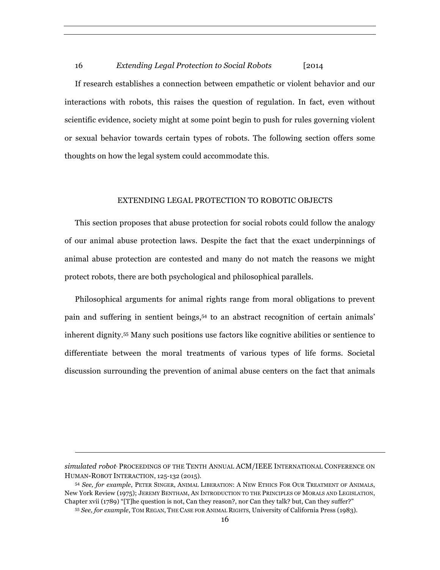If research establishes a connection between empathetic or violent behavior and our interactions with robots, this raises the question of regulation. In fact, even without scientific evidence, society might at some point begin to push for rules governing violent or sexual behavior towards certain types of robots. The following section offers some thoughts on how the legal system could accommodate this.

### EXTENDING LEGAL PROTECTION TO ROBOTIC OBJECTS

This section proposes that abuse protection for social robots could follow the analogy of our animal abuse protection laws. Despite the fact that the exact underpinnings of animal abuse protection are contested and many do not match the reasons we might protect robots, there are both psychological and philosophical parallels.

Philosophical arguments for animal rights range from moral obligations to prevent pain and suffering in sentient beings,54 to an abstract recognition of certain animals' inherent dignity.55 Many such positions use factors like cognitive abilities or sentience to differentiate between the moral treatments of various types of life forms. Societal discussion surrounding the prevention of animal abuse centers on the fact that animals

*simulated robot*, PROCEEDINGS OF THE TENTH ANNUAL ACM/IEEE INTERNATIONAL CONFERENCE ON HUMAN-ROBOT INTERACTION, 125-132 (2015).

<sup>54</sup> *See, for example*, PETER SINGER, ANIMAL LIBERATION: A NEW ETHICS FOR OUR TREATMENT OF ANIMALS, New York Review (1975); JEREMY BENTHAM, AN INTRODUCTION TO THE PRINCIPLES OF MORALS AND LEGISLATION, Chapter xvii (1789) "[T]he question is not, Can they reason?, nor Can they talk? but, Can they suffer?"

<sup>55</sup> *See, for example*, TOM REGAN, THE CASE FOR ANIMAL RIGHTS, University of California Press (1983).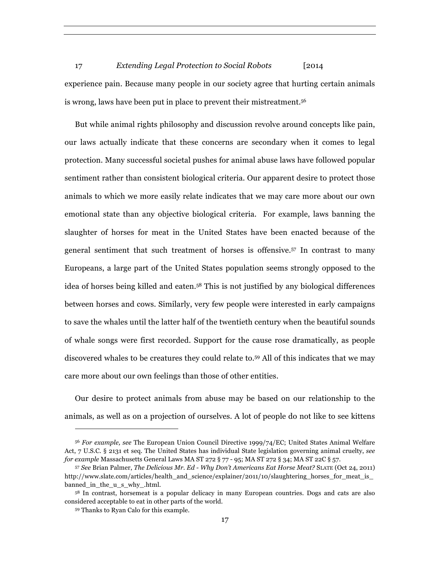17 *Extending Legal Protection to Social Robots* [2014 experience pain. Because many people in our society agree that hurting certain animals is wrong, laws have been put in place to prevent their mistreatment.56

But while animal rights philosophy and discussion revolve around concepts like pain, our laws actually indicate that these concerns are secondary when it comes to legal protection. Many successful societal pushes for animal abuse laws have followed popular sentiment rather than consistent biological criteria. Our apparent desire to protect those animals to which we more easily relate indicates that we may care more about our own emotional state than any objective biological criteria. For example, laws banning the slaughter of horses for meat in the United States have been enacted because of the general sentiment that such treatment of horses is offensive.57 In contrast to many Europeans, a large part of the United States population seems strongly opposed to the idea of horses being killed and eaten.58 This is not justified by any biological differences between horses and cows. Similarly, very few people were interested in early campaigns to save the whales until the latter half of the twentieth century when the beautiful sounds of whale songs were first recorded. Support for the cause rose dramatically, as people discovered whales to be creatures they could relate to.59 All of this indicates that we may care more about our own feelings than those of other entities.

Our desire to protect animals from abuse may be based on our relationship to the animals, as well as on a projection of ourselves. A lot of people do not like to see kittens

<sup>56</sup> *For example, see* The European Union Council Directive 1999/74/EC; United States Animal Welfare Act, 7 U.S.C. § 2131 et seq. The United States has individual State legislation governing animal cruelty, *see for example* Massachusetts General Laws MA ST 272 § 77 - 95; MA ST 272 § 34; MA ST 22C § 57.

<sup>57</sup> *See* Brian Palmer, *The Delicious Mr. Ed - Why Don't Americans Eat Horse Meat?* SLATE (Oct 24, 2011) http://www.slate.com/articles/health\_and\_science/explainer/2011/10/slaughtering\_horses\_for\_meat\_is\_ banned in the u s why .html.

<sup>58</sup> In contrast, horsemeat is a popular delicacy in many European countries. Dogs and cats are also considered acceptable to eat in other parts of the world.

<sup>59</sup> Thanks to Ryan Calo for this example.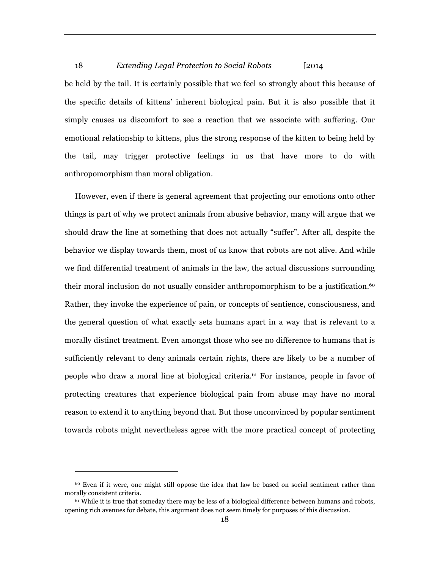18 *Extending Legal Protection to Social Robots* [2014 be held by the tail. It is certainly possible that we feel so strongly about this because of the specific details of kittens' inherent biological pain. But it is also possible that it simply causes us discomfort to see a reaction that we associate with suffering. Our emotional relationship to kittens, plus the strong response of the kitten to being held by the tail, may trigger protective feelings in us that have more to do with anthropomorphism than moral obligation.

However, even if there is general agreement that projecting our emotions onto other things is part of why we protect animals from abusive behavior, many will argue that we should draw the line at something that does not actually "suffer". After all, despite the behavior we display towards them, most of us know that robots are not alive. And while we find differential treatment of animals in the law, the actual discussions surrounding their moral inclusion do not usually consider anthropomorphism to be a justification.<sup>60</sup> Rather, they invoke the experience of pain, or concepts of sentience, consciousness, and the general question of what exactly sets humans apart in a way that is relevant to a morally distinct treatment. Even amongst those who see no difference to humans that is sufficiently relevant to deny animals certain rights, there are likely to be a number of people who draw a moral line at biological criteria.<sup>61</sup> For instance, people in favor of protecting creatures that experience biological pain from abuse may have no moral reason to extend it to anything beyond that. But those unconvinced by popular sentiment towards robots might nevertheless agree with the more practical concept of protecting

<sup>60</sup> Even if it were, one might still oppose the idea that law be based on social sentiment rather than morally consistent criteria.

 $61$  While it is true that someday there may be less of a biological difference between humans and robots, opening rich avenues for debate, this argument does not seem timely for purposes of this discussion.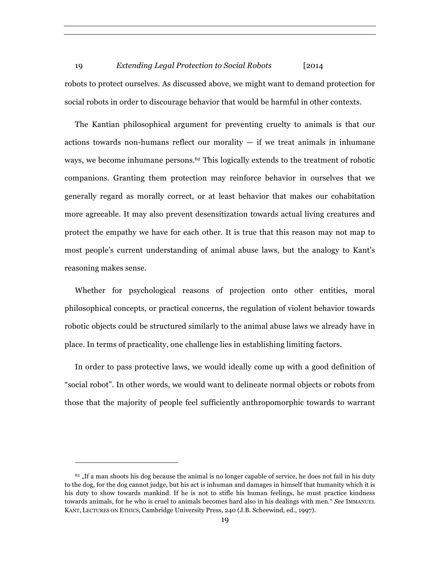19 *Extending Legal Protection to Social Robots* [2014 robots to protect ourselves. As discussed above, we might want to demand protection for social robots in order to discourage behavior that would be harmful in other contexts.

The Kantian philosophical argument for preventing cruelty to animals is that our actions towards non-humans reflect our morality  $-$  if we treat animals in inhumane ways, we become inhumane persons.<sup> $62$ </sup> This logically extends to the treatment of robotic companions. Granting them protection may reinforce behavior in ourselves that we generally regard as morally correct, or at least behavior that makes our cohabitation more agreeable. It may also prevent desensitization towards actual living creatures and protect the empathy we have for each other. It is true that this reason may not map to most people's current understanding of animal abuse laws, but the analogy to Kant's reasoning makes sense.

Whether for psychological reasons of projection onto other entities, moral philosophical concepts, or practical concerns, the regulation of violent behavior towards robotic objects could be structured similarly to the animal abuse laws we already have in place. In terms of practicality, one challenge lies in establishing limiting factors.

In order to pass protective laws, we would ideally come up with a good definition of "social robot". In other words, we would want to delineate normal objects or robots from those that the majority of people feel sufficiently anthropomorphic towards to warrant

l

 $62$  "If a man shoots his dog because the animal is no longer capable of service, he does not fail in his duty to the dog, for the dog cannot judge, but his act is inhuman and damages in himself that humanity which it is his duty to show towards mankind. If he is not to stifle his human feelings, he must practice kindness towards animals, for he who is cruel to animals becomes hard also in his dealings with men." *See* IMMANUEL KANT, LECTURES ON ETHICS, Cambridge University Press, 240 (J.B. Scheewind, ed., 1997).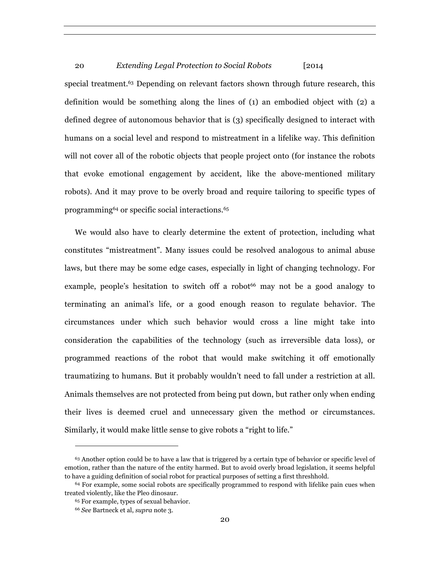special treatment.<sup>63</sup> Depending on relevant factors shown through future research, this definition would be something along the lines of (1) an embodied object with (2) a defined degree of autonomous behavior that is (3) specifically designed to interact with humans on a social level and respond to mistreatment in a lifelike way. This definition will not cover all of the robotic objects that people project onto (for instance the robots that evoke emotional engagement by accident, like the above-mentioned military robots). And it may prove to be overly broad and require tailoring to specific types of programming64 or specific social interactions. 65

We would also have to clearly determine the extent of protection, including what constitutes "mistreatment". Many issues could be resolved analogous to animal abuse laws, but there may be some edge cases, especially in light of changing technology. For example, people's hesitation to switch off a robot<sup>66</sup> may not be a good analogy to terminating an animal's life, or a good enough reason to regulate behavior. The circumstances under which such behavior would cross a line might take into consideration the capabilities of the technology (such as irreversible data loss), or programmed reactions of the robot that would make switching it off emotionally traumatizing to humans. But it probably wouldn't need to fall under a restriction at all. Animals themselves are not protected from being put down, but rather only when ending their lives is deemed cruel and unnecessary given the method or circumstances. Similarly, it would make little sense to give robots a "right to life."

<sup>63</sup> Another option could be to have a law that is triggered by a certain type of behavior or specific level of emotion, rather than the nature of the entity harmed. But to avoid overly broad legislation, it seems helpful to have a guiding definition of social robot for practical purposes of setting a first threshhold.

<sup>64</sup> For example, some social robots are specifically programmed to respond with lifelike pain cues when treated violently, like the Pleo dinosaur.

<sup>65</sup> For example, types of sexual behavior.

<sup>66</sup> *See* Bartneck et al, *supra* note 3.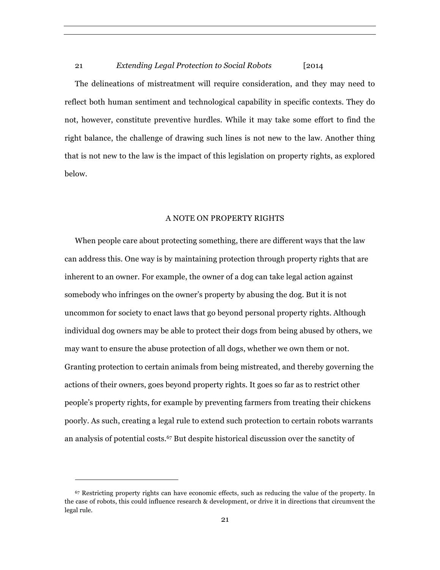The delineations of mistreatment will require consideration, and they may need to reflect both human sentiment and technological capability in specific contexts. They do not, however, constitute preventive hurdles. While it may take some effort to find the right balance, the challenge of drawing such lines is not new to the law. Another thing that is not new to the law is the impact of this legislation on property rights, as explored below.

#### A NOTE ON PROPERTY RIGHTS

When people care about protecting something, there are different ways that the law can address this. One way is by maintaining protection through property rights that are inherent to an owner. For example, the owner of a dog can take legal action against somebody who infringes on the owner's property by abusing the dog. But it is not uncommon for society to enact laws that go beyond personal property rights. Although individual dog owners may be able to protect their dogs from being abused by others, we may want to ensure the abuse protection of all dogs, whether we own them or not. Granting protection to certain animals from being mistreated, and thereby governing the actions of their owners, goes beyond property rights. It goes so far as to restrict other people's property rights, for example by preventing farmers from treating their chickens poorly. As such, creating a legal rule to extend such protection to certain robots warrants an analysis of potential costs.<sup>67</sup> But despite historical discussion over the sanctity of

<sup>67</sup> Restricting property rights can have economic effects, such as reducing the value of the property. In the case of robots, this could influence research & development, or drive it in directions that circumvent the legal rule.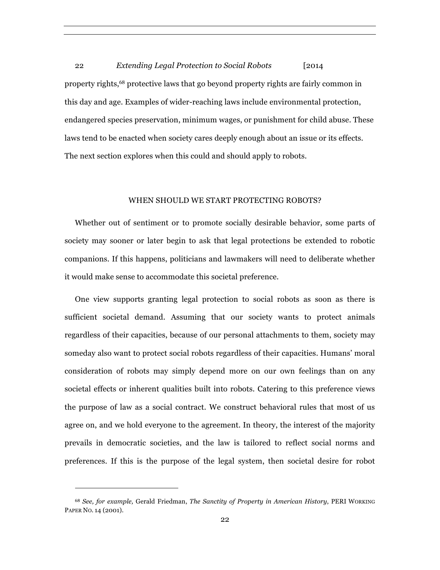22 *Extending Legal Protection to Social Robots* [2014 property rights,68 protective laws that go beyond property rights are fairly common in this day and age. Examples of wider-reaching laws include environmental protection, endangered species preservation, minimum wages, or punishment for child abuse. These laws tend to be enacted when society cares deeply enough about an issue or its effects. The next section explores when this could and should apply to robots.

### WHEN SHOULD WE START PROTECTING ROBOTS?

Whether out of sentiment or to promote socially desirable behavior, some parts of society may sooner or later begin to ask that legal protections be extended to robotic companions. If this happens, politicians and lawmakers will need to deliberate whether it would make sense to accommodate this societal preference.

One view supports granting legal protection to social robots as soon as there is sufficient societal demand. Assuming that our society wants to protect animals regardless of their capacities, because of our personal attachments to them, society may someday also want to protect social robots regardless of their capacities. Humans' moral consideration of robots may simply depend more on our own feelings than on any societal effects or inherent qualities built into robots. Catering to this preference views the purpose of law as a social contract. We construct behavioral rules that most of us agree on, and we hold everyone to the agreement. In theory, the interest of the majority prevails in democratic societies, and the law is tailored to reflect social norms and preferences. If this is the purpose of the legal system, then societal desire for robot

<sup>68</sup> *See, for example,* Gerald Friedman, *The Sanctity of Property in American History*, PERI WORKING PAPER NO. 14 (2001).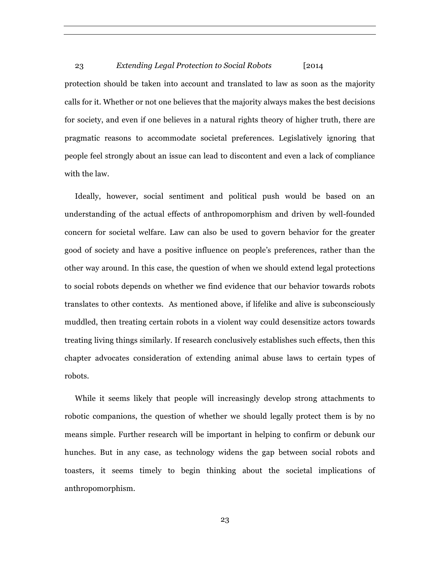23 *Extending Legal Protection to Social Robots* [2014 protection should be taken into account and translated to law as soon as the majority calls for it. Whether or not one believes that the majority always makes the best decisions for society, and even if one believes in a natural rights theory of higher truth, there are pragmatic reasons to accommodate societal preferences. Legislatively ignoring that people feel strongly about an issue can lead to discontent and even a lack of compliance with the law.

Ideally, however, social sentiment and political push would be based on an understanding of the actual effects of anthropomorphism and driven by well-founded concern for societal welfare. Law can also be used to govern behavior for the greater good of society and have a positive influence on people's preferences, rather than the other way around. In this case, the question of when we should extend legal protections to social robots depends on whether we find evidence that our behavior towards robots translates to other contexts. As mentioned above, if lifelike and alive is subconsciously muddled, then treating certain robots in a violent way could desensitize actors towards treating living things similarly. If research conclusively establishes such effects, then this chapter advocates consideration of extending animal abuse laws to certain types of robots.

While it seems likely that people will increasingly develop strong attachments to robotic companions, the question of whether we should legally protect them is by no means simple. Further research will be important in helping to confirm or debunk our hunches. But in any case, as technology widens the gap between social robots and toasters, it seems timely to begin thinking about the societal implications of anthropomorphism.